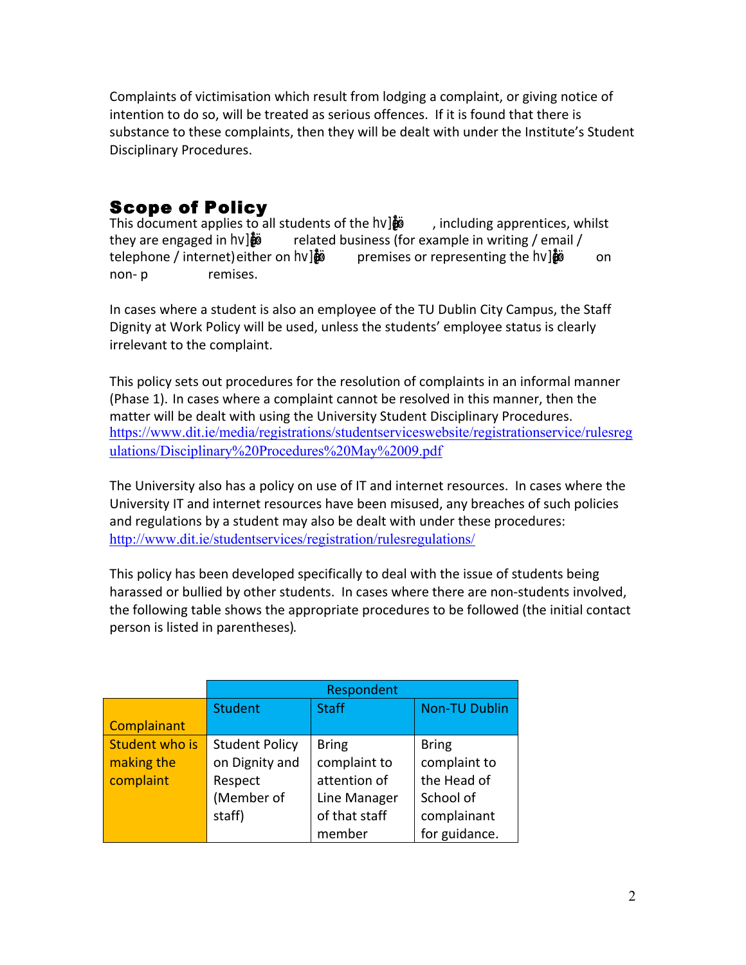Complaints of victimisation which result from lodging a complaint, or giving notice of intention to do so, will be treated as serious offences. If it is found that there is substance to these complaints, then they will be dealt with under the Institute's Student Disciplinary Procedures. 

#### Scope of Policy

This document applies to all students of the  $\&\&\&$  , including apprentices, whilst they are engaged in hv&¿åê&ö« related business (for example in writing / email / telephone / internet) either on **图图**图 premises or representing the **图图**图 on non-**&&**h remises.

In cases where a student is also an employee of the TU Dublin City Campus, the Staff Dignity at Work Policy will be used, unless the students' employee status is clearly irrelevant to the complaint.

This policy sets out procedures for the resolution of complaints in an informal manner (Phase 1). In cases where a complaint cannot be resolved in this manner, then the matter will be dealt with using the University Student Disciplinary Procedures. https://www.dit.ie/media/registrations/studentserviceswebsite/registrationservice/rulesreg ulations/Disciplinary%20Procedures%20May%2009.pdf 

The University also has a policy on use of IT and internet resources. In cases where the University IT and internet resources have been misused, any breaches of such policies and regulations by a student may also be dealt with under these procedures: http://www.dit.ie/studentservices/registration/rulesregulations/

This policy has been developed specifically to deal with the issue of students being harassed or bullied by other students. In cases where there are non-students involved, the following table shows the appropriate procedures to be followed (the initial contact person is listed in parentheses).

|                | Respondent            |               |                      |
|----------------|-----------------------|---------------|----------------------|
|                | <b>Student</b>        | <b>Staff</b>  | <b>Non-TU Dublin</b> |
| Complainant    |                       |               |                      |
| Student who is | <b>Student Policy</b> | <b>Bring</b>  | <b>Bring</b>         |
| making the     | on Dignity and        | complaint to  | complaint to         |
| complaint      | Respect               | attention of  | the Head of          |
|                | (Member of            | Line Manager  | School of            |
|                | staff)                | of that staff | complainant          |
|                |                       | member        | for guidance.        |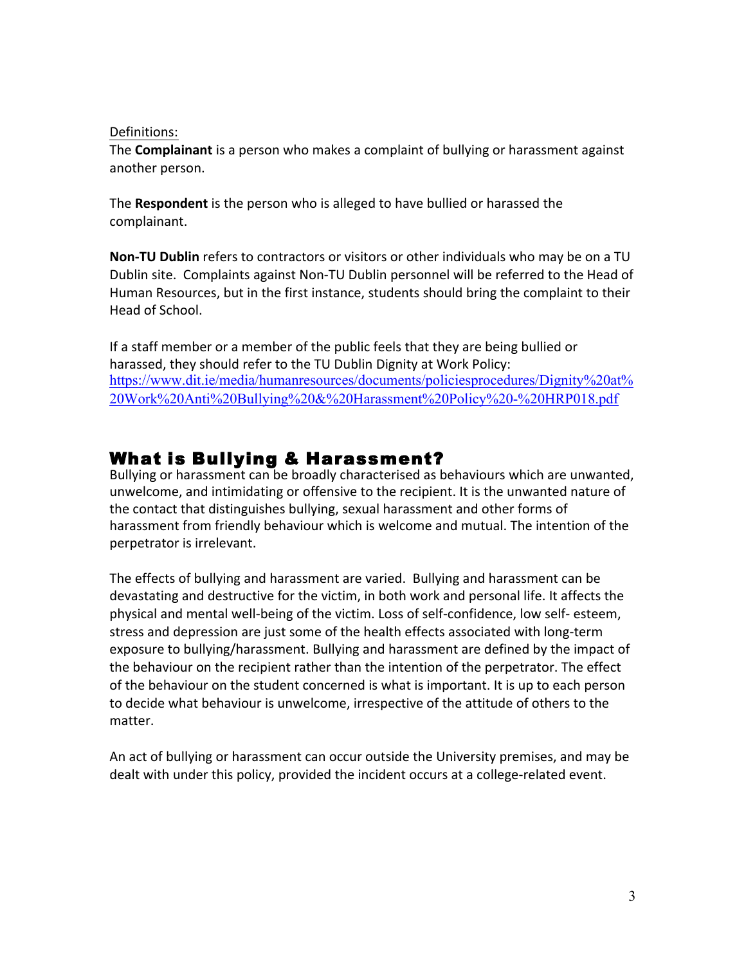#### Definitions:

The **Complainant** is a person who makes a complaint of bullying or harassment against another person.

The **Respondent** is the person who is alleged to have bullied or harassed the complainant. 

**Non-TU Dublin** refers to contractors or visitors or other individuals who may be on a TU Dublin site. Complaints against Non-TU Dublin personnel will be referred to the Head of Human Resources, but in the first instance, students should bring the complaint to their Head of School.

If a staff member or a member of the public feels that they are being bullied or harassed, they should refer to the TU Dublin Dignity at Work Policy: https://www.dit.ie/media/humanresources/documents/policiesprocedures/Dignity%20at% 20Work%20Anti%20Bullying%20&%20Harassment%20Policy%20-%20HRP018.pdf 

#### What is Bullying & Harassment?

Bullying or harassment can be broadly characterised as behaviours which are unwanted, unwelcome, and intimidating or offensive to the recipient. It is the unwanted nature of the contact that distinguishes bullying, sexual harassment and other forms of harassment from friendly behaviour which is welcome and mutual. The intention of the perpetrator is irrelevant.

The effects of bullying and harassment are varied. Bullying and harassment can be devastating and destructive for the victim, in both work and personal life. It affects the physical and mental well-being of the victim. Loss of self-confidence, low self- esteem, stress and depression are just some of the health effects associated with long-term exposure to bullying/harassment. Bullying and harassment are defined by the impact of the behaviour on the recipient rather than the intention of the perpetrator. The effect of the behaviour on the student concerned is what is important. It is up to each person to decide what behaviour is unwelcome, irrespective of the attitude of others to the matter. 

An act of bullying or harassment can occur outside the University premises, and may be dealt with under this policy, provided the incident occurs at a college-related event.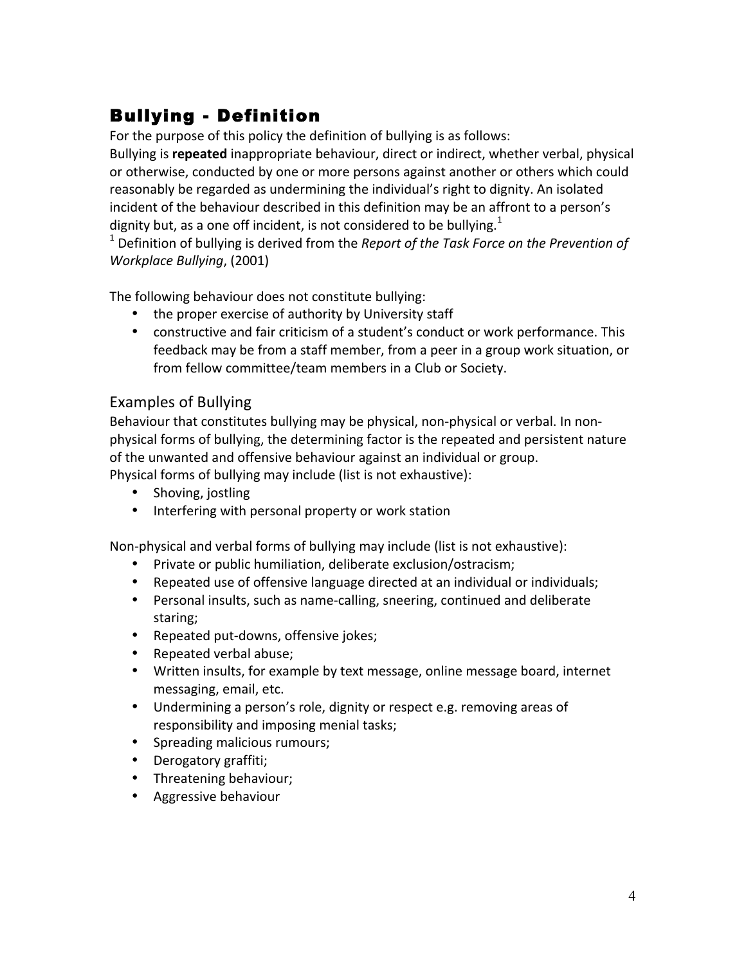# Bullying - Definition

For the purpose of this policy the definition of bullying is as follows:

Bullying is **repeated** inappropriate behaviour, direct or indirect, whether verbal, physical or otherwise, conducted by one or more persons against another or others which could reasonably be regarded as undermining the individual's right to dignity. An isolated incident of the behaviour described in this definition may be an affront to a person's dignity but, as a one off incident, is not considered to be bullying.<sup>1</sup>

 $^1$  Definition of bullying is derived from the *Report of the Task Force on the Prevention of Workplace Bullying*, (2001)

The following behaviour does not constitute bullying:

- the proper exercise of authority by University staff
- constructive and fair criticism of a student's conduct or work performance. This feedback may be from a staff member, from a peer in a group work situation, or from fellow committee/team members in a Club or Society.

#### Examples of Bullying

Behaviour that constitutes bullying may be physical, non-physical or verbal. In nonphysical forms of bullying, the determining factor is the repeated and persistent nature of the unwanted and offensive behaviour against an individual or group. Physical forms of bullying may include (list is not exhaustive):

- Shoving, jostling
- Interfering with personal property or work station

Non-physical and verbal forms of bullying may include (list is not exhaustive):

- Private or public humiliation, deliberate exclusion/ostracism;
- Repeated use of offensive language directed at an individual or individuals;
- Personal insults, such as name-calling, sneering, continued and deliberate staring;
- Repeated put-downs, offensive jokes;
- Repeated verbal abuse;
- Written insults, for example by text message, online message board, internet messaging, email, etc.
- Undermining a person's role, dignity or respect e.g. removing areas of responsibility and imposing menial tasks;
- Spreading malicious rumours;
- Derogatory graffiti;
- Threatening behaviour;
- Aggressive behaviour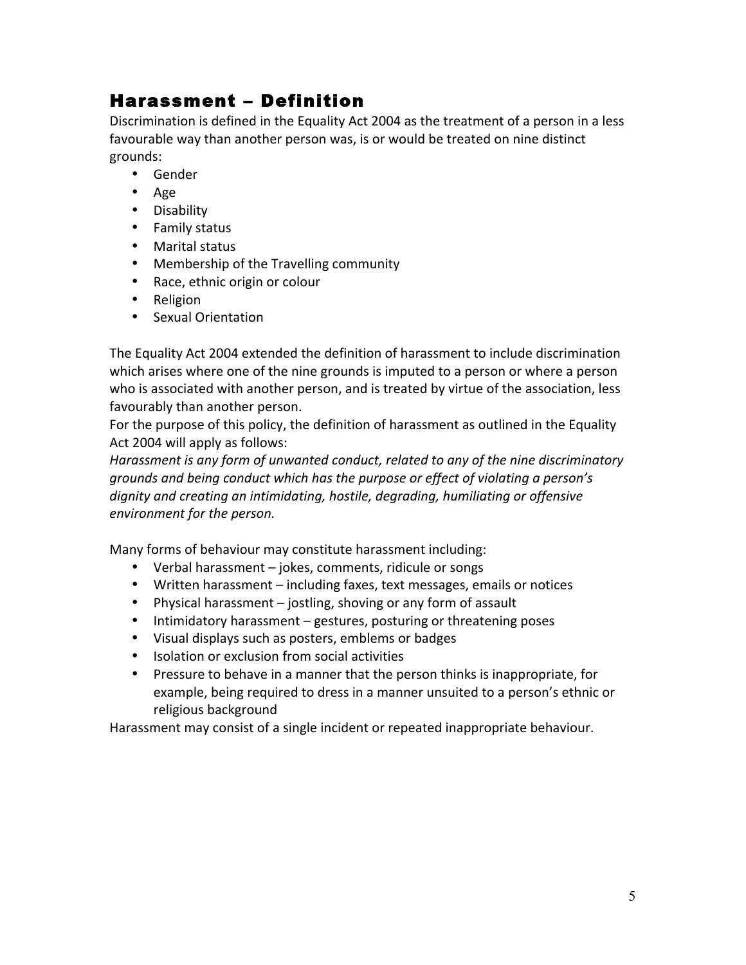### Harassment – Definition

Discrimination is defined in the Equality Act 2004 as the treatment of a person in a less favourable way than another person was, is or would be treated on nine distinct grounds:

- Gender
- Age
- Disability
- Family status
- Marital status
- Membership of the Travelling community
- Race, ethnic origin or colour
- Religion
- Sexual Orientation

The Equality Act 2004 extended the definition of harassment to include discrimination which arises where one of the nine grounds is imputed to a person or where a person who is associated with another person, and is treated by virtue of the association, less favourably than another person.

For the purpose of this policy, the definition of harassment as outlined in the Equality Act 2004 will apply as follows:

Harassment is any form of unwanted conduct, related to any of the nine discriminatory *grounds and being conduct which has the purpose or effect of violating a person's* dignity and creating an intimidating, hostile, degrading, humiliating or offensive *environment for the person.*

Many forms of behaviour may constitute harassment including:

- Verbal harassment jokes, comments, ridicule or songs
- Written harassment including faxes, text messages, emails or notices
- Physical harassment jostling, shoving or any form of assault
- Intimidatory harassment gestures, posturing or threatening poses
- Visual displays such as posters, emblems or badges
- Isolation or exclusion from social activities
- Pressure to behave in a manner that the person thinks is inappropriate, for example, being required to dress in a manner unsuited to a person's ethnic or religious background

Harassment may consist of a single incident or repeated inappropriate behaviour.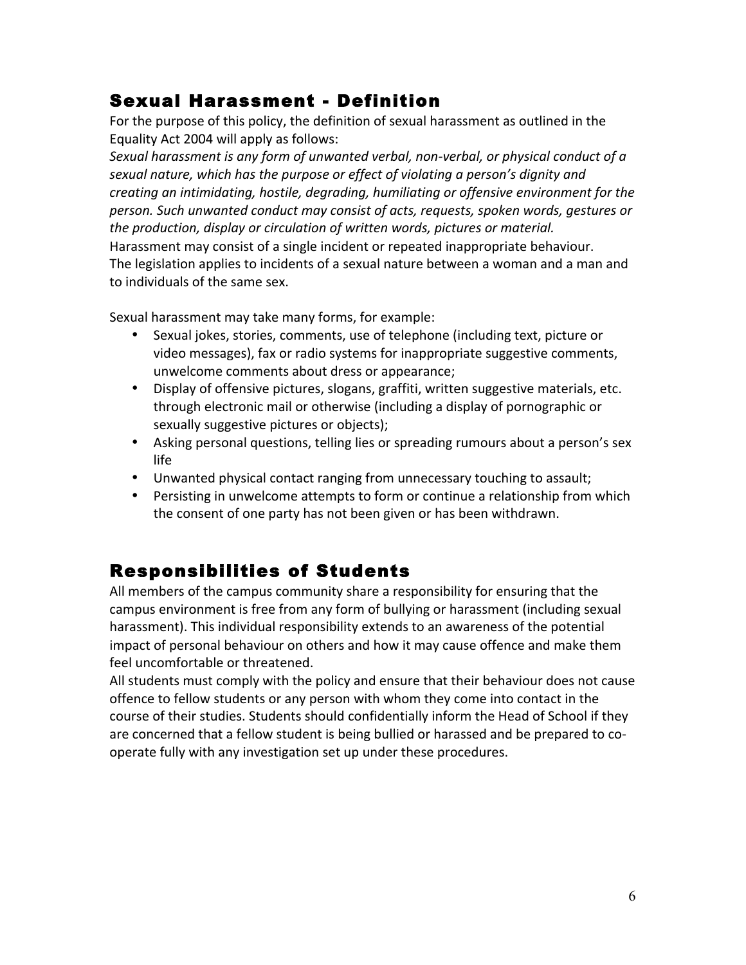#### Sexual Harassment - Definition

For the purpose of this policy, the definition of sexual harassment as outlined in the Equality Act 2004 will apply as follows:

Sexual harassment is any form of unwanted verbal, non-verbal, or physical conduct of a sexual nature, which has the purpose or effect of violating a person's dignity and creating an intimidating, hostile, degrading, humiliating or offensive environment for the *person. Such unwanted conduct may consist of acts, requests, spoken words, gestures or the production, display or circulation of written words, pictures or material.* Harassment may consist of a single incident or repeated inappropriate behaviour. The legislation applies to incidents of a sexual nature between a woman and a man and to individuals of the same sex.

Sexual harassment may take many forms, for example:

- Sexual jokes, stories, comments, use of telephone (including text, picture or video messages), fax or radio systems for inappropriate suggestive comments, unwelcome comments about dress or appearance;
- Display of offensive pictures, slogans, graffiti, written suggestive materials, etc. through electronic mail or otherwise (including a display of pornographic or sexually suggestive pictures or objects);
- Asking personal questions, telling lies or spreading rumours about a person's sex life
- Unwanted physical contact ranging from unnecessary touching to assault;
- Persisting in unwelcome attempts to form or continue a relationship from which the consent of one party has not been given or has been withdrawn.

### Responsibilities of Students

All members of the campus community share a responsibility for ensuring that the campus environment is free from any form of bullying or harassment (including sexual harassment). This individual responsibility extends to an awareness of the potential impact of personal behaviour on others and how it may cause offence and make them feel uncomfortable or threatened.

All students must comply with the policy and ensure that their behaviour does not cause offence to fellow students or any person with whom they come into contact in the course of their studies. Students should confidentially inform the Head of School if they are concerned that a fellow student is being bullied or harassed and be prepared to cooperate fully with any investigation set up under these procedures.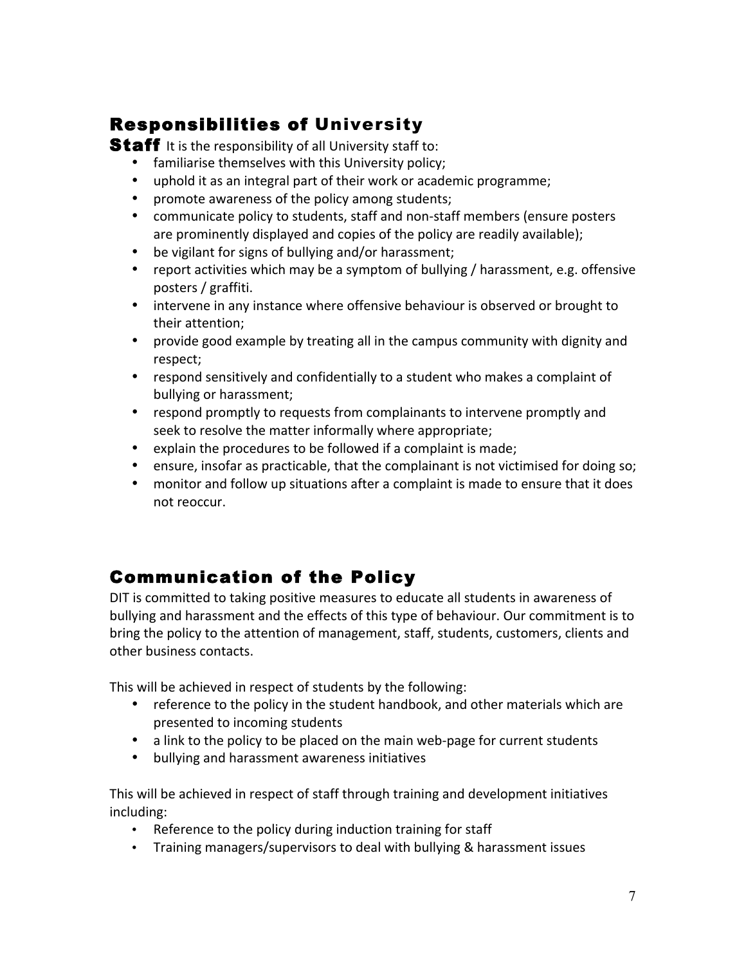### Responsibilities of University

**Staff** It is the responsibility of all University staff to:

- familiarise themselves with this University policy;
- uphold it as an integral part of their work or academic programme;
- promote awareness of the policy among students;
- communicate policy to students, staff and non-staff members (ensure posters are prominently displayed and copies of the policy are readily available);
- be vigilant for signs of bullying and/or harassment;
- report activities which may be a symptom of bullying / harassment, e.g. offensive posters / graffiti.
- intervene in any instance where offensive behaviour is observed or brought to their attention;
- provide good example by treating all in the campus community with dignity and respect;
- respond sensitively and confidentially to a student who makes a complaint of bullying or harassment;
- respond promptly to requests from complainants to intervene promptly and seek to resolve the matter informally where appropriate;
- explain the procedures to be followed if a complaint is made;
- ensure, insofar as practicable, that the complainant is not victimised for doing so;
- monitor and follow up situations after a complaint is made to ensure that it does not reoccur.

## Communication of the Policy

DIT is committed to taking positive measures to educate all students in awareness of bullying and harassment and the effects of this type of behaviour. Our commitment is to bring the policy to the attention of management, staff, students, customers, clients and other business contacts.

This will be achieved in respect of students by the following:

- reference to the policy in the student handbook, and other materials which are presented to incoming students
- a link to the policy to be placed on the main web-page for current students
- bullying and harassment awareness initiatives

This will be achieved in respect of staff through training and development initiatives including: 

- Reference to the policy during induction training for staff
- Training managers/supervisors to deal with bullying & harassment issues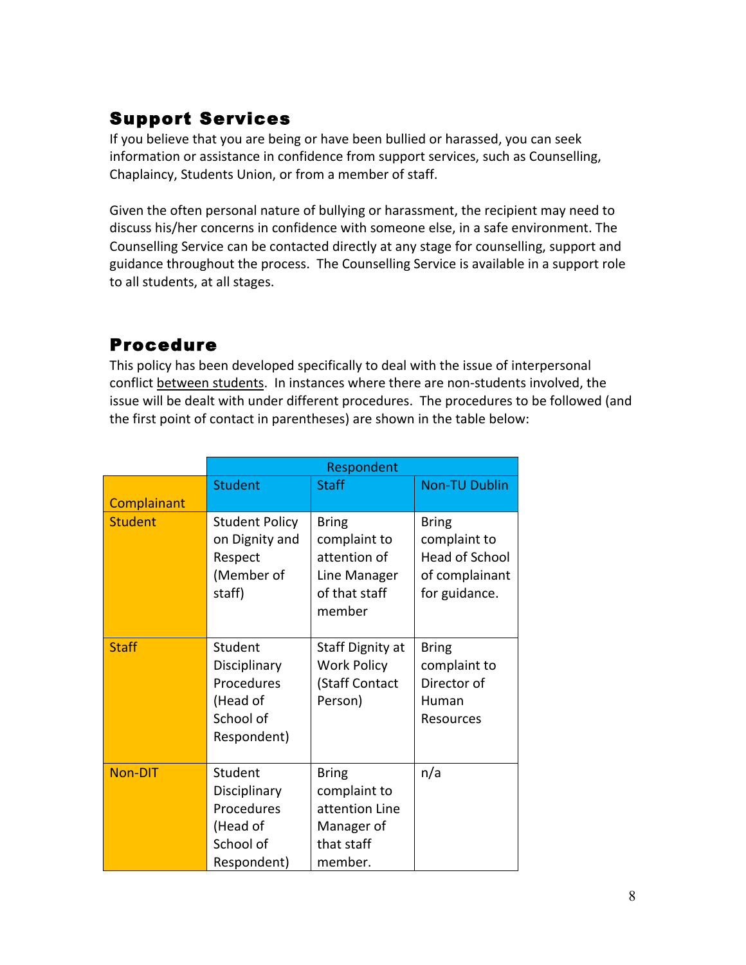### Support Services

If you believe that you are being or have been bullied or harassed, you can seek information or assistance in confidence from support services, such as Counselling, Chaplaincy, Students Union, or from a member of staff.

Given the often personal nature of bullying or harassment, the recipient may need to discuss his/her concerns in confidence with someone else, in a safe environment. The Counselling Service can be contacted directly at any stage for counselling, support and guidance throughout the process. The Counselling Service is available in a support role to all students, at all stages.

#### Procedure

This policy has been developed specifically to deal with the issue of interpersonal conflict between students. In instances where there are non-students involved, the issue will be dealt with under different procedures. The procedures to be followed (and the first point of contact in parentheses) are shown in the table below:

|                | Respondent                                                                    |                                                                                         |                                                                                          |
|----------------|-------------------------------------------------------------------------------|-----------------------------------------------------------------------------------------|------------------------------------------------------------------------------------------|
|                | <b>Student</b>                                                                | <b>Staff</b>                                                                            | <b>Non-TU Dublin</b>                                                                     |
| Complainant    |                                                                               |                                                                                         |                                                                                          |
| <b>Student</b> | <b>Student Policy</b><br>on Dignity and<br>Respect<br>(Member of<br>staff)    | <b>Bring</b><br>complaint to<br>attention of<br>Line Manager<br>of that staff<br>member | <b>Bring</b><br>complaint to<br><b>Head of School</b><br>of complainant<br>for guidance. |
| <b>Staff</b>   | Student<br>Disciplinary<br>Procedures<br>(Head of<br>School of<br>Respondent) | Staff Dignity at<br><b>Work Policy</b><br>(Staff Contact<br>Person)                     | <b>Bring</b><br>complaint to<br>Director of<br>Human<br>Resources                        |
| <b>Non-DIT</b> | Student<br>Disciplinary<br>Procedures<br>(Head of<br>School of<br>Respondent) | <b>Bring</b><br>complaint to<br>attention Line<br>Manager of<br>that staff<br>member.   | n/a                                                                                      |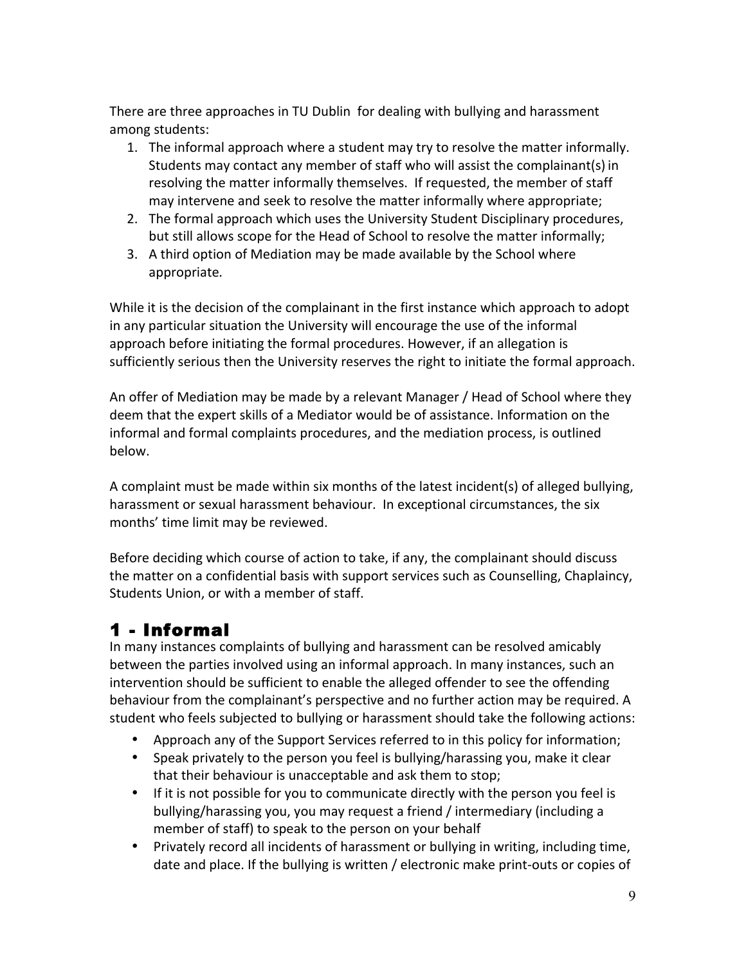There are three approaches in TU Dublin for dealing with bullying and harassment among students:

- 1. The informal approach where a student may try to resolve the matter informally. Students may contact any member of staff who will assist the complainant(s) in resolving the matter informally themselves. If requested, the member of staff may intervene and seek to resolve the matter informally where appropriate;
- 2. The formal approach which uses the University Student Disciplinary procedures, but still allows scope for the Head of School to resolve the matter informally;
- 3. A third option of Mediation may be made available by the School where appropriate*.*

While it is the decision of the complainant in the first instance which approach to adopt in any particular situation the University will encourage the use of the informal approach before initiating the formal procedures. However, if an allegation is sufficiently serious then the University reserves the right to initiate the formal approach.

An offer of Mediation may be made by a relevant Manager / Head of School where they deem that the expert skills of a Mediator would be of assistance. Information on the informal and formal complaints procedures, and the mediation process, is outlined below.

A complaint must be made within six months of the latest incident(s) of alleged bullying, harassment or sexual harassment behaviour. In exceptional circumstances, the six months' time limit may be reviewed.

Before deciding which course of action to take, if any, the complainant should discuss the matter on a confidential basis with support services such as Counselling, Chaplaincy, Students Union, or with a member of staff.

### 1 - Informal

In many instances complaints of bullying and harassment can be resolved amicably between the parties involved using an informal approach. In many instances, such an intervention should be sufficient to enable the alleged offender to see the offending behaviour from the complainant's perspective and no further action may be required. A student who feels subjected to bullying or harassment should take the following actions:

- Approach any of the Support Services referred to in this policy for information;
- Speak privately to the person you feel is bullying/harassing you, make it clear that their behaviour is unacceptable and ask them to stop;
- If it is not possible for you to communicate directly with the person you feel is bullying/harassing you, you may request a friend / intermediary (including a member of staff) to speak to the person on your behalf
- Privately record all incidents of harassment or bullying in writing, including time, date and place. If the bullying is written / electronic make print-outs or copies of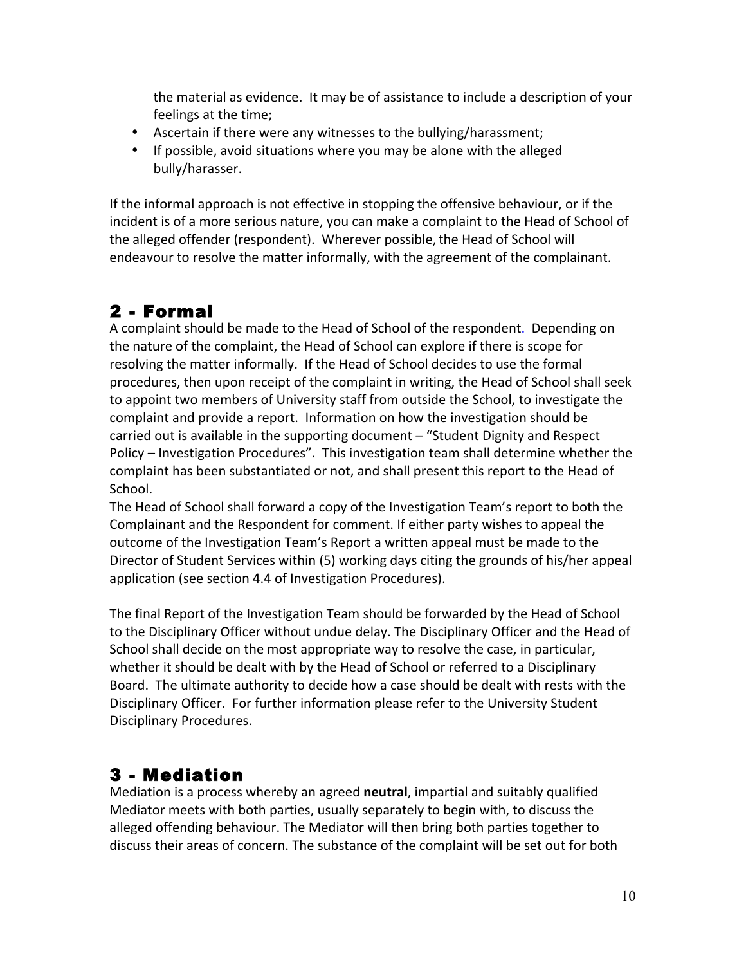the material as evidence. It may be of assistance to include a description of your feelings at the time;

- Ascertain if there were any witnesses to the bullying/harassment;
- If possible, avoid situations where you may be alone with the alleged bully/harasser.

If the informal approach is not effective in stopping the offensive behaviour, or if the incident is of a more serious nature, you can make a complaint to the Head of School of the alleged offender (respondent). Wherever possible, the Head of School will endeavour to resolve the matter informally, with the agreement of the complainant.

### 2 - Formal

A complaint should be made to the Head of School of the respondent. Depending on the nature of the complaint, the Head of School can explore if there is scope for resolving the matter informally. If the Head of School decides to use the formal procedures, then upon receipt of the complaint in writing, the Head of School shall seek to appoint two members of University staff from outside the School, to investigate the complaint and provide a report. Information on how the investigation should be carried out is available in the supporting document - "Student Dignity and Respect Policy – Investigation Procedures". This investigation team shall determine whether the complaint has been substantiated or not, and shall present this report to the Head of School. 

The Head of School shall forward a copy of the Investigation Team's report to both the Complainant and the Respondent for comment. If either party wishes to appeal the outcome of the Investigation Team's Report a written appeal must be made to the Director of Student Services within (5) working days citing the grounds of his/her appeal application (see section 4.4 of Investigation Procedures).

The final Report of the Investigation Team should be forwarded by the Head of School to the Disciplinary Officer without undue delay. The Disciplinary Officer and the Head of School shall decide on the most appropriate way to resolve the case, in particular, whether it should be dealt with by the Head of School or referred to a Disciplinary Board. The ultimate authority to decide how a case should be dealt with rests with the Disciplinary Officer. For further information please refer to the University Student Disciplinary Procedures.

## 3 - Mediation

Mediation is a process whereby an agreed **neutral**, impartial and suitably qualified Mediator meets with both parties, usually separately to begin with, to discuss the alleged offending behaviour. The Mediator will then bring both parties together to discuss their areas of concern. The substance of the complaint will be set out for both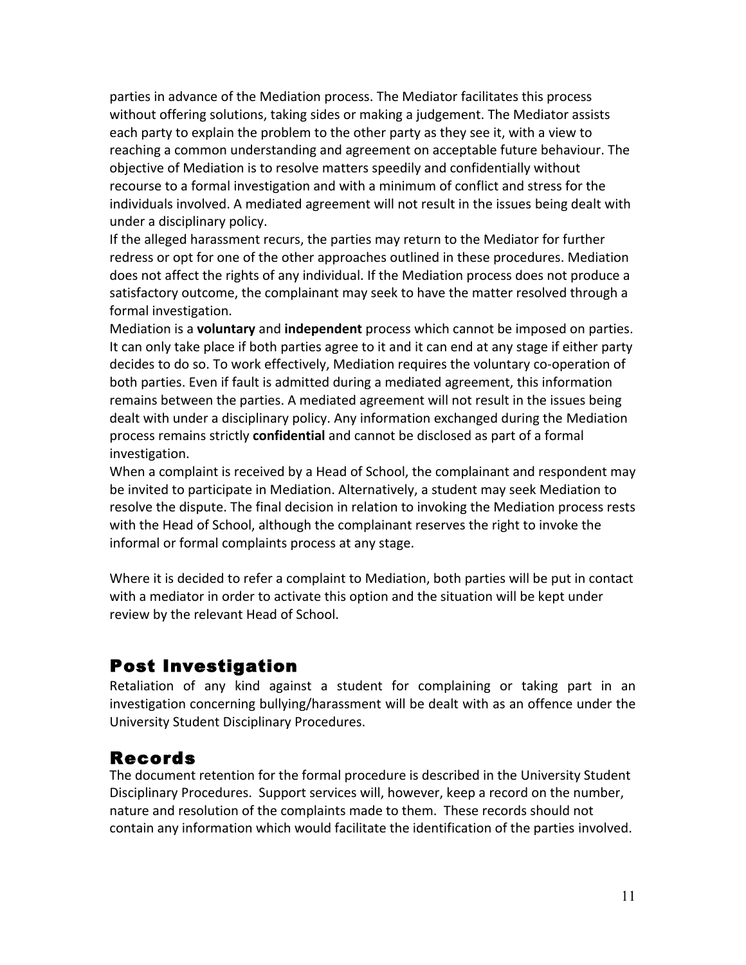parties in advance of the Mediation process. The Mediator facilitates this process without offering solutions, taking sides or making a judgement. The Mediator assists each party to explain the problem to the other party as they see it, with a view to reaching a common understanding and agreement on acceptable future behaviour. The objective of Mediation is to resolve matters speedily and confidentially without recourse to a formal investigation and with a minimum of conflict and stress for the individuals involved. A mediated agreement will not result in the issues being dealt with under a disciplinary policy.

If the alleged harassment recurs, the parties may return to the Mediator for further redress or opt for one of the other approaches outlined in these procedures. Mediation does not affect the rights of any individual. If the Mediation process does not produce a satisfactory outcome, the complainant may seek to have the matter resolved through a formal investigation.

Mediation is a **voluntary** and **independent** process which cannot be imposed on parties. It can only take place if both parties agree to it and it can end at any stage if either party decides to do so. To work effectively, Mediation requires the voluntary co-operation of both parties. Even if fault is admitted during a mediated agreement, this information remains between the parties. A mediated agreement will not result in the issues being dealt with under a disciplinary policy. Any information exchanged during the Mediation process remains strictly **confidential** and cannot be disclosed as part of a formal investigation. 

When a complaint is received by a Head of School, the complainant and respondent may be invited to participate in Mediation. Alternatively, a student may seek Mediation to resolve the dispute. The final decision in relation to invoking the Mediation process rests with the Head of School, although the complainant reserves the right to invoke the informal or formal complaints process at any stage.

Where it is decided to refer a complaint to Mediation, both parties will be put in contact with a mediator in order to activate this option and the situation will be kept under review by the relevant Head of School.

### Post Investigation

Retaliation of any kind against a student for complaining or taking part in an investigation concerning bullying/harassment will be dealt with as an offence under the University Student Disciplinary Procedures.

### Records

The document retention for the formal procedure is described in the University Student Disciplinary Procedures. Support services will, however, keep a record on the number, nature and resolution of the complaints made to them. These records should not contain any information which would facilitate the identification of the parties involved.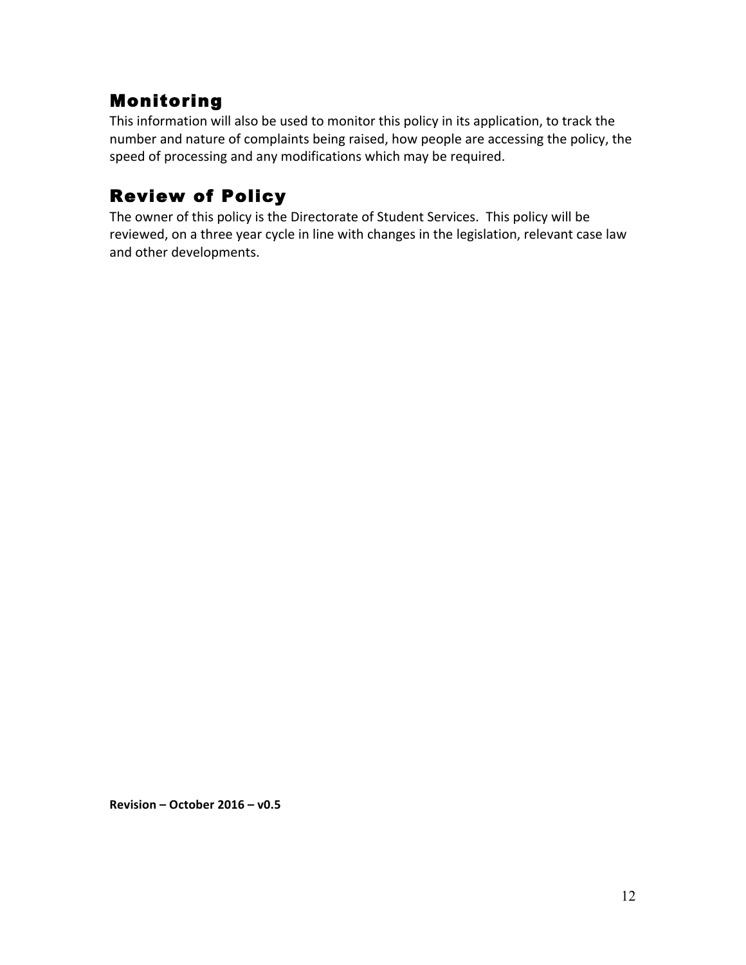### Monitoring

This information will also be used to monitor this policy in its application, to track the number and nature of complaints being raised, how people are accessing the policy, the speed of processing and any modifications which may be required.

## Review of Policy

The owner of this policy is the Directorate of Student Services. This policy will be reviewed, on a three year cycle in line with changes in the legislation, relevant case law and other developments.

Revision – October 2016 – v0.5